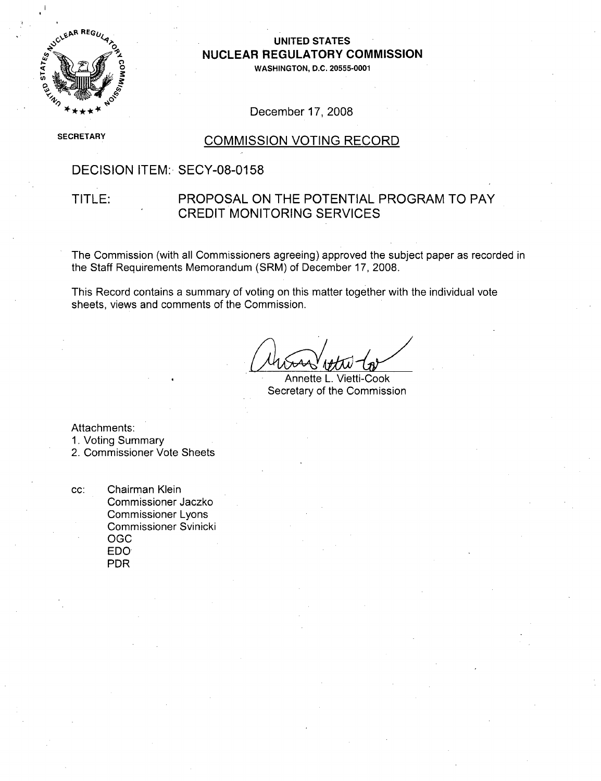

#### UNITED STATES **NUCLEAR** REGULATORY **COMMISSION**

**WASHINGTON, D.C. 20555-0001**

#### December 17, 2008

**SECRETARY** 

### **COMMISSION VOTING RECORD**

### DECISION ITEM: SECY-08-0158

### TITLE: PROPOSAL ON THE POTENTIAL PROGRAM TO PAY CREDIT MONITORING SERVICES

The Commission (with all Commissioners agreeing) approved the subject paper as recorded in the Staff Requirements Memorandum (SRM) of December 17, 2008.

This Record contains a summary of voting on this matter together with the individual vote sheets, views and comments of the Commission.

Annette L. Vietti-Cook Secretary of the Commission

Attachments:

1. Voting Summary

2. Commissioner Vote Sheets

cc: Chairman Klein Commissioner Jaczko Commissioner Lyons Commissioner Svinicki OGC EDO PDR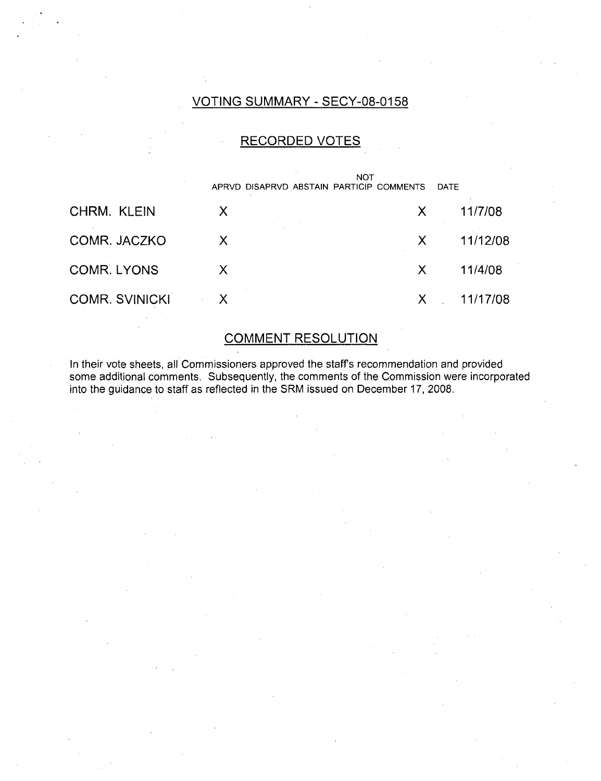### VOTING SUMMARY - SECY-08-0158

### RECORDED VOTES

|                       |        | <b>NOT</b><br>APRVD DISAPRVD ABSTAIN PARTICIP COMMENTS | DATE     |
|-----------------------|--------|--------------------------------------------------------|----------|
| CHRM. KLEIN           | X      | X                                                      | 11/7/08  |
| COMR. JACZKO          | $\chi$ | $\mathsf{X}$                                           | 11/12/08 |
| <b>COMR. LYONS</b>    | X.     | X.                                                     | 11/4/08  |
| <b>COMR. SVINICKI</b> | X      |                                                        | 11/17/08 |

# COMMENT RESOLUTION

In their vote sheets, all Commissioners approved the staff s recommendation and provided some additional comments. Subsequently, the comments of the Commission were incorporated into the guidance to staff as reflected in the SRM issued on December 17, 2008.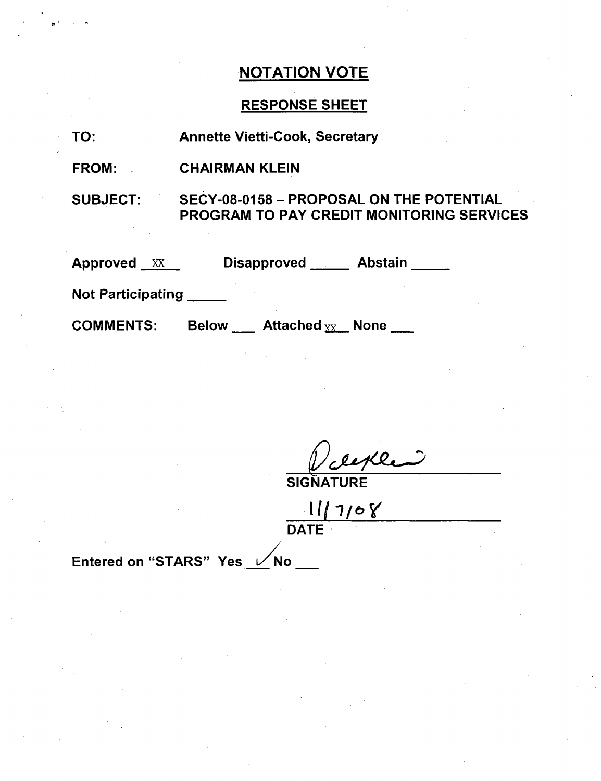# RESPONSE SHEET

| TO:                      | <b>Annette Vietti-Cook, Secretary</b>                                                        |
|--------------------------|----------------------------------------------------------------------------------------------|
| <b>FROM:</b>             | <b>CHAIRMAN KLEIN</b>                                                                        |
| <b>SUBJECT:</b>          | SECY-08-0158 - PROPOSAL ON THE POTENTIAL<br><b>PROGRAM TO PAY CREDIT MONITORING SERVICES</b> |
| <b>Approved XX</b>       | Disapproved Abstain                                                                          |
| <b>Not Participating</b> |                                                                                              |
| <b>COMMENTS:</b>         | <b>Below Attached</b> $_{XX}$ None $\qquad$                                                  |

SIGNATURE

*II[1/* **-7/** DATE

Entered on "STARS" Yes /0 No

 $\mathbf{r}$  .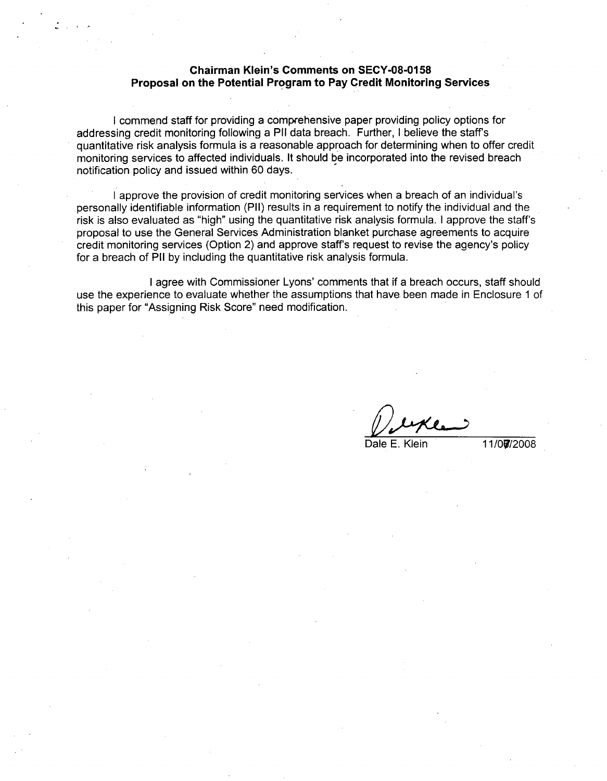#### **Chairman Klein's Comments on SECY-08-0158 Proposal on the Potential Program to Pay Credit Monitoring Services**

**I** commend staff for providing a comprehensive paper providing policy options for addressing credit monitoring following a PH1 data breach. Further, **I** believe the staff's quantitative risk analysis formula is a reasonable approach for determining when to offer credit monitoring services to affected individuals. It should be incorporated into the revised breach notification policy and issued within **60** days.

**I** approve the provision of credit monitoring services when a breach of an individual's personally identifiable information (PII) results in a requirement to notify the individual and the risk is also evaluated as "high" using the quantitative risk analysis formula. **I** approve the staff's proposal to use the General Services Administration blanket purchase agreements to acquire credit monitoring services (Option 2) and approve staff's request to revise the agency's policy for a breach of PH1 **by** including the quantitative risk analysis formula.

**I** agree with Commissioner Lyons' comments that if a breach occurs, staff should use the experience to evaluate whether the assumptions that have been made in Enclosure **1** of this paper for "Assigning Risk Score" need modification.

Dale **E.** Klein **11/0Oi/2008**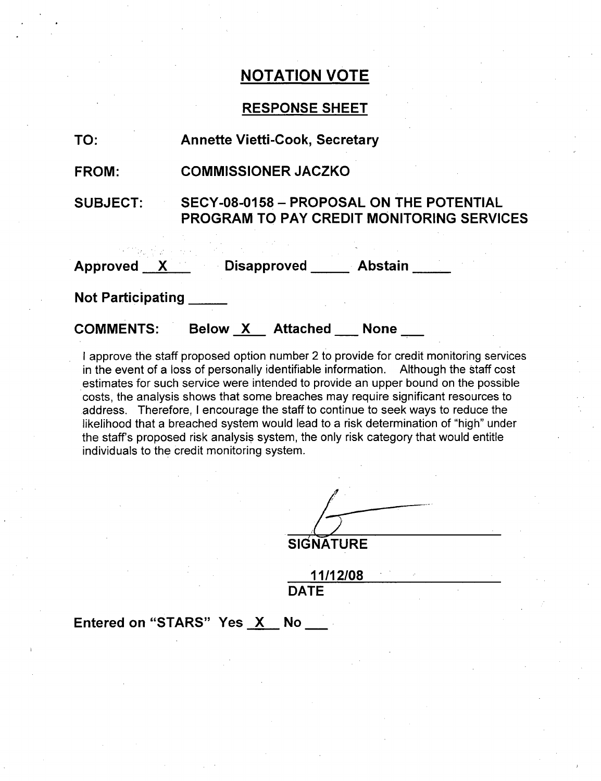### **RESPONSE SHEET**

| TO:                      | <b>Annette Vietti-Cook, Secretary</b>                                                               |  |  |
|--------------------------|-----------------------------------------------------------------------------------------------------|--|--|
| <b>FROM:</b>             | <b>COMMISSIONER JACZKO</b>                                                                          |  |  |
| <b>SUBJECT:</b>          | <b>SECY-08-0158 - PROPOSAL ON THE POTENTIAL</b><br><b>PROGRAM TO PAY CREDIT MONITORING SERVICES</b> |  |  |
|                          | Approved X Disapproved Abstain                                                                      |  |  |
| <b>Not Participating</b> |                                                                                                     |  |  |
| <b>COMMENTS:</b>         | Attached<br>Below X<br>None                                                                         |  |  |

I approve the staff proposed option number 2 to provide for credit monitoring services in the event of a loss of personally identifiable information. Although the staff cost estimates for such service were intended to provide an upper bound on the possible costs, the analysis shows that some breaches may require significant resources to address. Therefore, I encourage the staff to continue to seek ways to reduce the likelihood that a breached system would lead to a risk determination of "high" under the staff's proposed risk analysis system, the only risk category that would entitle individuals to the credit monitoring system.

**SIGNATURE**

**11/12/08 DATE**

Entered on "STARS" Yes X No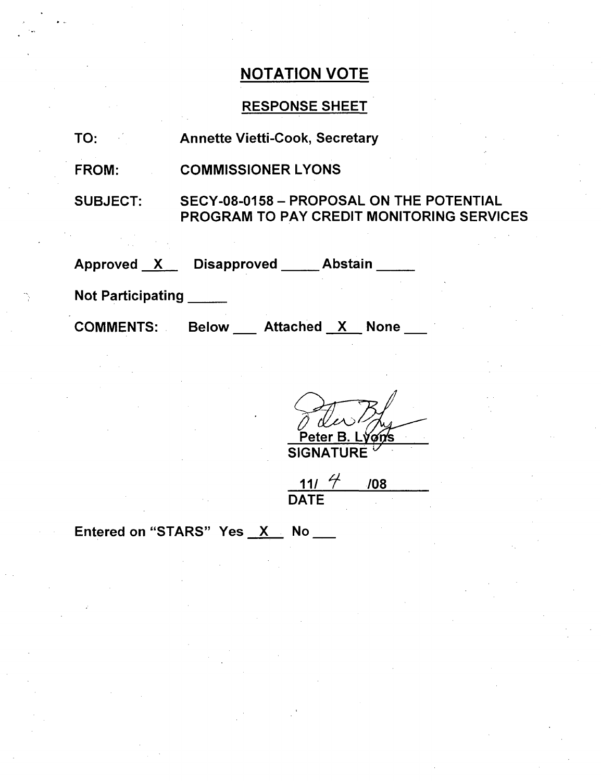## RESPONSE SHEET

| TO: |  |  | <b>Annette Vietti-Cook, Secretary</b> |  |
|-----|--|--|---------------------------------------|--|
|-----|--|--|---------------------------------------|--|

FROM: COMMISSIONER LYONS

SUBJECT: SECY-08-0158 - PROPOSAL ON THE POTENTIAL PROGRAM TO PAY CREDIT MONITORING SERVICES

Approved X Disapproved Abstain

Not Participating

COMMENTS: Below \_\_\_ Attached \_<u>X </u> None

ater R

**SIGNATURE** 

<u>111</u>  $4$ **DATE** /08

Entered on "STARS" Yes  $X$  No  $\_\_\_\_\$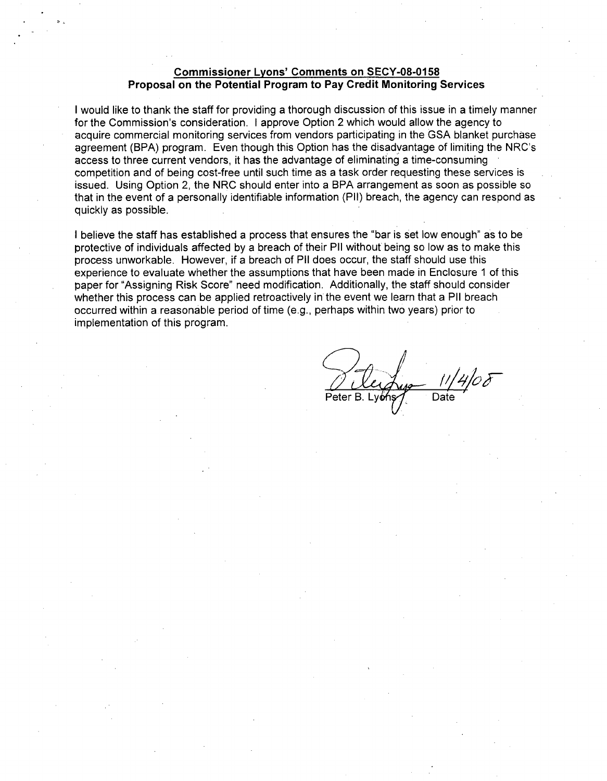#### Commissioner Lyons' Comments on **SECY-08-0158** Proposal on the Potential Program to Pay Credit Monitoring Services

I would like to thank the staff for providing a thorough discussion of this issue in a timely manner for the Commission's consideration. I approve Option 2 which would allow the agency to acquire commercial monitoring services from vendors participating in the GSA blanket purchase agreement (BPA) program. Even though this Option has the disadvantage of limiting the NRC's access to three current vendors, it has the advantage of eliminating a time-consuming competition and of being cost-free until such time as a task order requesting these services is issued. Using Option 2, the NRC should enter into a BPA arrangement as soon as possible so that in the event of a personally identifiable information (PII) breach, the agency can respond as quickly as possible.

I believe the staff has established a process that ensures the "bar is set low enough" as to be protective of individuals affected by a breach of their P11 without being so low as to make this process unworkable. However, if a breach of P11 does occur, the staff should use this experience to evaluate whether the assumptions that have been made in Enclosure 1 of this paper for "Assigning Risk Score" need modification. Additionally, the staff should consider whether this process can be applied retroactively in the event we learn that a P11 breach occurred within a reasonable period of time (e.g., perhaps within two years) prior to implementation of this program.

Peter B. Lyons Company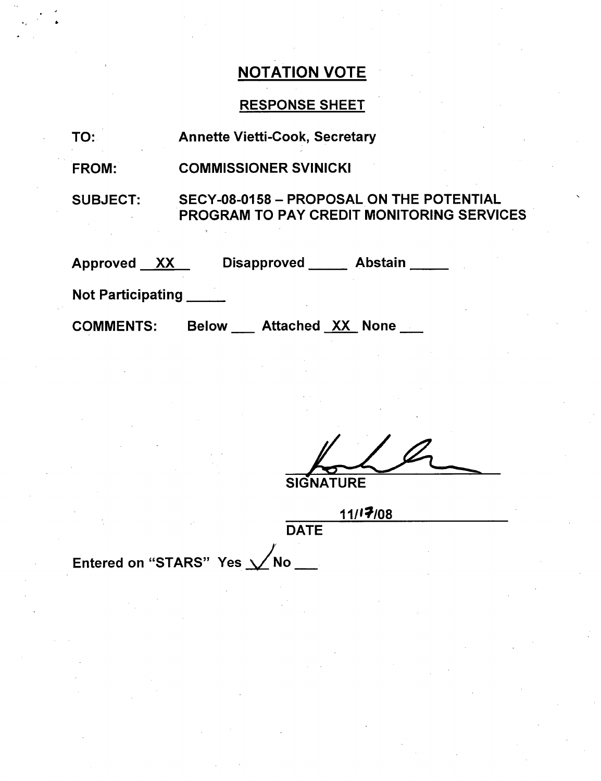# RESPONSE SHEET

| TO:                      | <b>Annette Vietti-Cook, Secretary</b>                                                        |
|--------------------------|----------------------------------------------------------------------------------------------|
| <b>FROM:</b>             | <b>COMMISSIONER SVINICKI</b>                                                                 |
| <b>SUBJECT:</b>          | SECY-08-0158 - PROPOSAL ON THE POTENTIAL<br><b>PROGRAM TO PAY CREDIT MONITORING SERVICES</b> |
| Approved XX              | <b>Disapproved</b><br>Abstain                                                                |
| <b>Not Participating</b> |                                                                                              |
| <b>COMMENTS:</b>         | <b>Attached XX None</b><br><b>Below</b>                                                      |

**SIGNATURE** 

**DATE** 

**11I17I08**

Entered on "STARS" Yes  $\sqrt{N}$ No